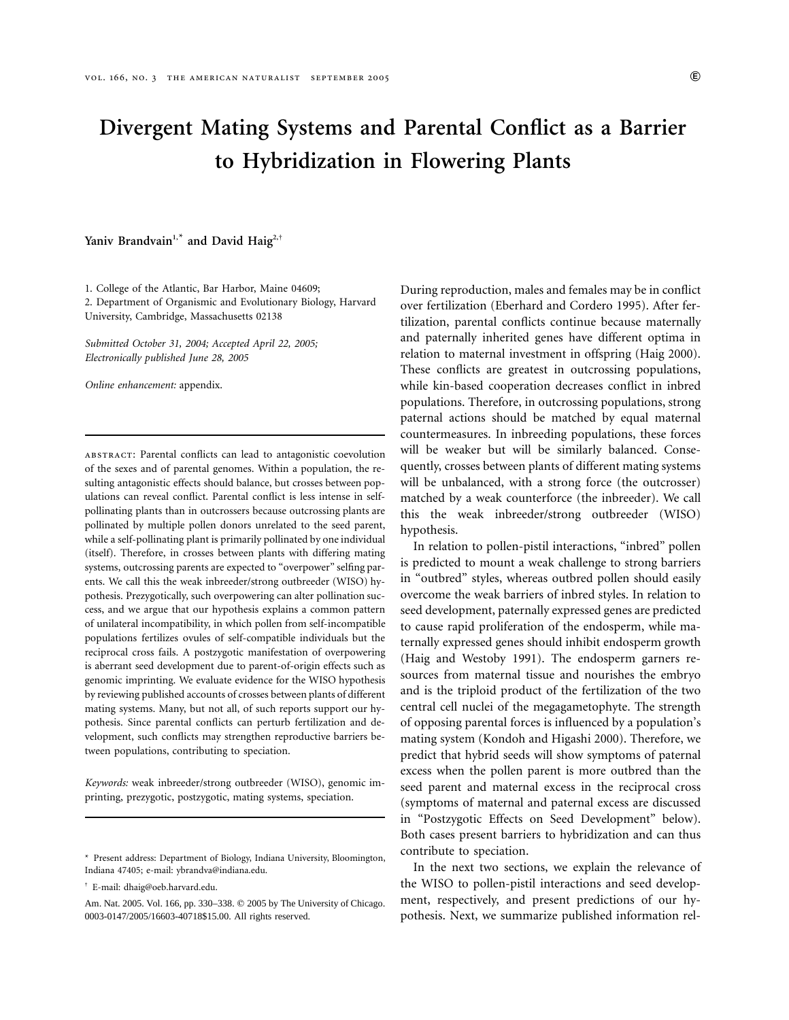# **Divergent Mating Systems and Parental Conflict as a Barrier to Hybridization in Flowering Plants**

Yaniv Brandvain<sup>1,\*</sup> and David Haig<sup>2,†</sup>

1. College of the Atlantic, Bar Harbor, Maine 04609; 2. Department of Organismic and Evolutionary Biology, Harvard University, Cambridge, Massachusetts 02138

*Submitted October 31, 2004; Accepted April 22, 2005; Electronically published June 28, 2005*

*Online enhancement:* appendix.

abstract: Parental conflicts can lead to antagonistic coevolution of the sexes and of parental genomes. Within a population, the resulting antagonistic effects should balance, but crosses between populations can reveal conflict. Parental conflict is less intense in selfpollinating plants than in outcrossers because outcrossing plants are pollinated by multiple pollen donors unrelated to the seed parent, while a self-pollinating plant is primarily pollinated by one individual (itself). Therefore, in crosses between plants with differing mating systems, outcrossing parents are expected to "overpower" selfing parents. We call this the weak inbreeder/strong outbreeder (WISO) hypothesis. Prezygotically, such overpowering can alter pollination success, and we argue that our hypothesis explains a common pattern of unilateral incompatibility, in which pollen from self-incompatible populations fertilizes ovules of self-compatible individuals but the reciprocal cross fails. A postzygotic manifestation of overpowering is aberrant seed development due to parent-of-origin effects such as genomic imprinting. We evaluate evidence for the WISO hypothesis by reviewing published accounts of crosses between plants of different mating systems. Many, but not all, of such reports support our hypothesis. Since parental conflicts can perturb fertilization and development, such conflicts may strengthen reproductive barriers between populations, contributing to speciation.

*Keywords:* weak inbreeder/strong outbreeder (WISO), genomic imprinting, prezygotic, postzygotic, mating systems, speciation.

† E-mail: dhaig@oeb.harvard.edu.

During reproduction, males and females may be in conflict over fertilization (Eberhard and Cordero 1995). After fertilization, parental conflicts continue because maternally and paternally inherited genes have different optima in relation to maternal investment in offspring (Haig 2000). These conflicts are greatest in outcrossing populations, while kin-based cooperation decreases conflict in inbred populations. Therefore, in outcrossing populations, strong paternal actions should be matched by equal maternal countermeasures. In inbreeding populations, these forces will be weaker but will be similarly balanced. Consequently, crosses between plants of different mating systems will be unbalanced, with a strong force (the outcrosser) matched by a weak counterforce (the inbreeder). We call this the weak inbreeder/strong outbreeder (WISO) hypothesis.

In relation to pollen-pistil interactions, "inbred" pollen is predicted to mount a weak challenge to strong barriers in "outbred" styles, whereas outbred pollen should easily overcome the weak barriers of inbred styles. In relation to seed development, paternally expressed genes are predicted to cause rapid proliferation of the endosperm, while maternally expressed genes should inhibit endosperm growth (Haig and Westoby 1991). The endosperm garners resources from maternal tissue and nourishes the embryo and is the triploid product of the fertilization of the two central cell nuclei of the megagametophyte. The strength of opposing parental forces is influenced by a population's mating system (Kondoh and Higashi 2000). Therefore, we predict that hybrid seeds will show symptoms of paternal excess when the pollen parent is more outbred than the seed parent and maternal excess in the reciprocal cross (symptoms of maternal and paternal excess are discussed in "Postzygotic Effects on Seed Development" below). Both cases present barriers to hybridization and can thus contribute to speciation.

In the next two sections, we explain the relevance of the WISO to pollen-pistil interactions and seed development, respectively, and present predictions of our hypothesis. Next, we summarize published information rel-

<sup>\*</sup> Present address: Department of Biology, Indiana University, Bloomington, Indiana 47405; e-mail: ybrandva@indiana.edu.

Am. Nat. 2005. Vol. 166, pp. 330–338. © 2005 by The University of Chicago. 0003-0147/2005/16603-40718\$15.00. All rights reserved.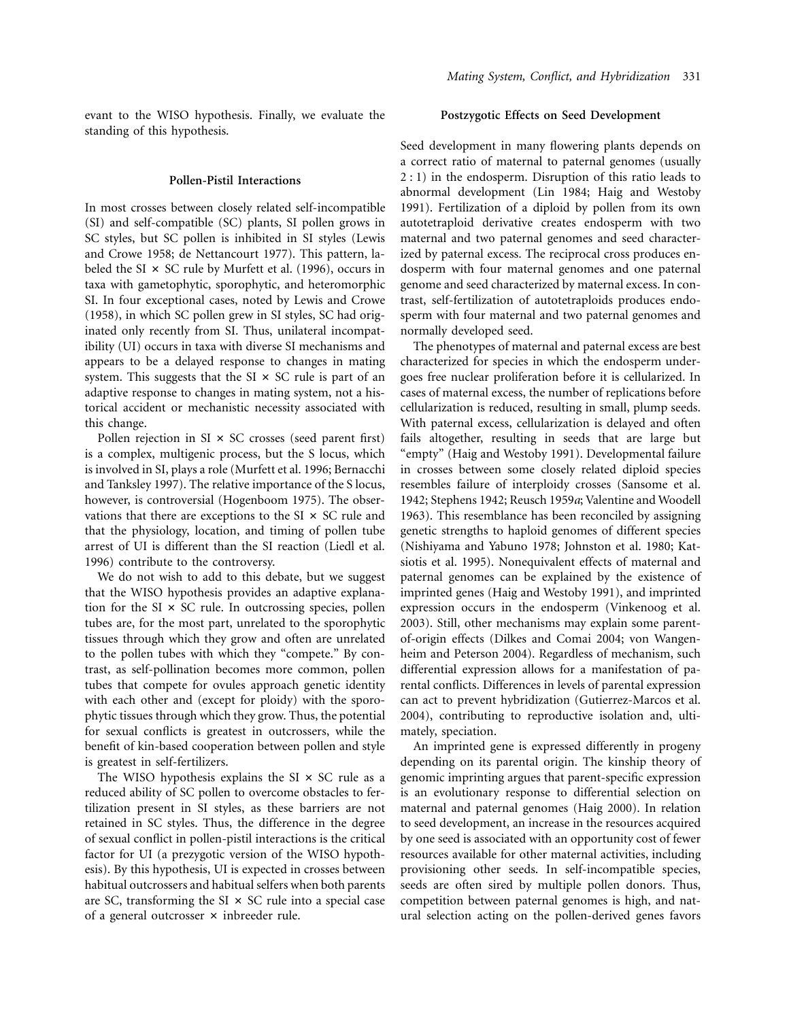# **Pollen-Pistil Interactions**

In most crosses between closely related self-incompatible (SI) and self-compatible (SC) plants, SI pollen grows in SC styles, but SC pollen is inhibited in SI styles (Lewis and Crowe 1958; de Nettancourt 1977). This pattern, labeled the SI  $\times$  SC rule by Murfett et al. (1996), occurs in taxa with gametophytic, sporophytic, and heteromorphic SI. In four exceptional cases, noted by Lewis and Crowe (1958), in which SC pollen grew in SI styles, SC had originated only recently from SI. Thus, unilateral incompatibility (UI) occurs in taxa with diverse SI mechanisms and appears to be a delayed response to changes in mating system. This suggests that the SI  $\times$  SC rule is part of an adaptive response to changes in mating system, not a historical accident or mechanistic necessity associated with this change.

Pollen rejection in  $SI \times SC$  crosses (seed parent first) is a complex, multigenic process, but the S locus, which is involved in SI, plays a role (Murfett et al. 1996; Bernacchi and Tanksley 1997). The relative importance of the S locus, however, is controversial (Hogenboom 1975). The observations that there are exceptions to the SI  $\times$  SC rule and that the physiology, location, and timing of pollen tube arrest of UI is different than the SI reaction (Liedl et al. 1996) contribute to the controversy.

We do not wish to add to this debate, but we suggest that the WISO hypothesis provides an adaptive explanation for the SI  $\times$  SC rule. In outcrossing species, pollen tubes are, for the most part, unrelated to the sporophytic tissues through which they grow and often are unrelated to the pollen tubes with which they "compete." By contrast, as self-pollination becomes more common, pollen tubes that compete for ovules approach genetic identity with each other and (except for ploidy) with the sporophytic tissues through which they grow. Thus, the potential for sexual conflicts is greatest in outcrossers, while the benefit of kin-based cooperation between pollen and style is greatest in self-fertilizers.

The WISO hypothesis explains the SI  $\times$  SC rule as a reduced ability of SC pollen to overcome obstacles to fertilization present in SI styles, as these barriers are not retained in SC styles. Thus, the difference in the degree of sexual conflict in pollen-pistil interactions is the critical factor for UI (a prezygotic version of the WISO hypothesis). By this hypothesis, UI is expected in crosses between habitual outcrossers and habitual selfers when both parents are SC, transforming the SI  $\times$  SC rule into a special case of a general outcrosser  $\times$  inbreeder rule.

# **Postzygotic Effects on Seed Development**

Seed development in many flowering plants depends on a correct ratio of maternal to paternal genomes (usually 2 : 1) in the endosperm. Disruption of this ratio leads to abnormal development (Lin 1984; Haig and Westoby 1991). Fertilization of a diploid by pollen from its own autotetraploid derivative creates endosperm with two maternal and two paternal genomes and seed characterized by paternal excess. The reciprocal cross produces endosperm with four maternal genomes and one paternal genome and seed characterized by maternal excess. In contrast, self-fertilization of autotetraploids produces endosperm with four maternal and two paternal genomes and normally developed seed.

The phenotypes of maternal and paternal excess are best characterized for species in which the endosperm undergoes free nuclear proliferation before it is cellularized. In cases of maternal excess, the number of replications before cellularization is reduced, resulting in small, plump seeds. With paternal excess, cellularization is delayed and often fails altogether, resulting in seeds that are large but "empty" (Haig and Westoby 1991). Developmental failure in crosses between some closely related diploid species resembles failure of interploidy crosses (Sansome et al. 1942; Stephens 1942; Reusch 1959*a*; Valentine and Woodell 1963). This resemblance has been reconciled by assigning genetic strengths to haploid genomes of different species (Nishiyama and Yabuno 1978; Johnston et al. 1980; Katsiotis et al. 1995). Nonequivalent effects of maternal and paternal genomes can be explained by the existence of imprinted genes (Haig and Westoby 1991), and imprinted expression occurs in the endosperm (Vinkenoog et al. 2003). Still, other mechanisms may explain some parentof-origin effects (Dilkes and Comai 2004; von Wangenheim and Peterson 2004). Regardless of mechanism, such differential expression allows for a manifestation of parental conflicts. Differences in levels of parental expression can act to prevent hybridization (Gutierrez-Marcos et al. 2004), contributing to reproductive isolation and, ultimately, speciation.

An imprinted gene is expressed differently in progeny depending on its parental origin. The kinship theory of genomic imprinting argues that parent-specific expression is an evolutionary response to differential selection on maternal and paternal genomes (Haig 2000). In relation to seed development, an increase in the resources acquired by one seed is associated with an opportunity cost of fewer resources available for other maternal activities, including provisioning other seeds. In self-incompatible species, seeds are often sired by multiple pollen donors. Thus, competition between paternal genomes is high, and natural selection acting on the pollen-derived genes favors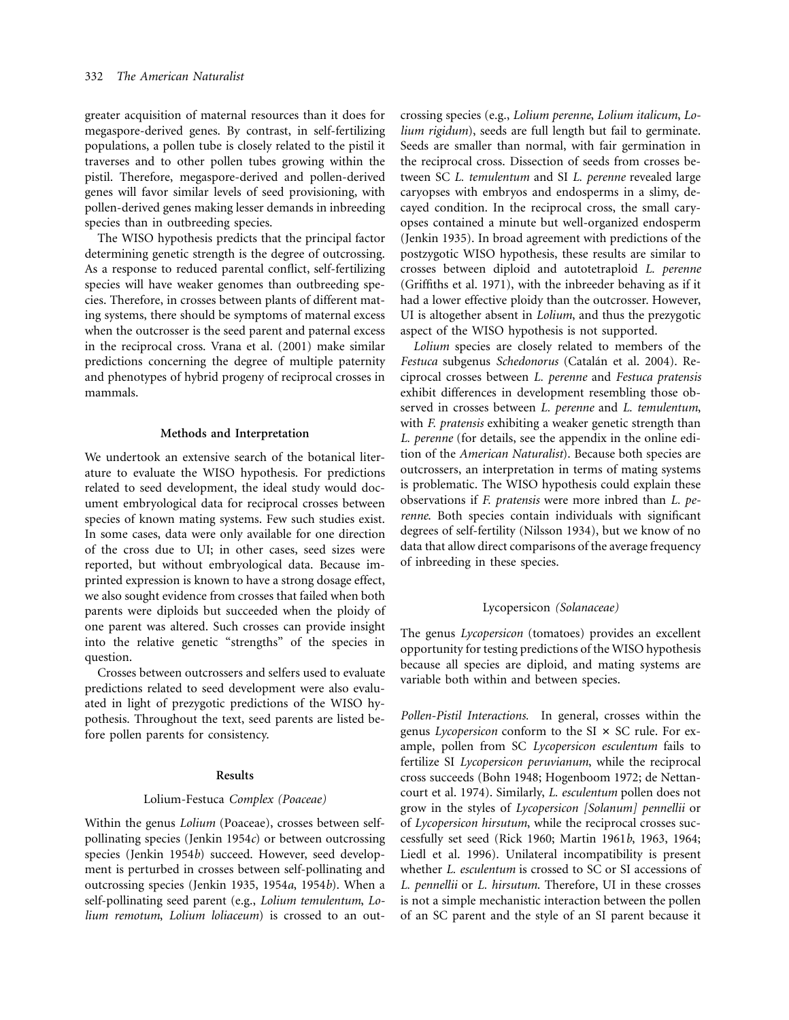greater acquisition of maternal resources than it does for megaspore-derived genes. By contrast, in self-fertilizing populations, a pollen tube is closely related to the pistil it traverses and to other pollen tubes growing within the pistil. Therefore, megaspore-derived and pollen-derived genes will favor similar levels of seed provisioning, with pollen-derived genes making lesser demands in inbreeding species than in outbreeding species.

The WISO hypothesis predicts that the principal factor determining genetic strength is the degree of outcrossing. As a response to reduced parental conflict, self-fertilizing species will have weaker genomes than outbreeding species. Therefore, in crosses between plants of different mating systems, there should be symptoms of maternal excess when the outcrosser is the seed parent and paternal excess in the reciprocal cross. Vrana et al. (2001) make similar predictions concerning the degree of multiple paternity and phenotypes of hybrid progeny of reciprocal crosses in mammals.

# **Methods and Interpretation**

We undertook an extensive search of the botanical literature to evaluate the WISO hypothesis. For predictions related to seed development, the ideal study would document embryological data for reciprocal crosses between species of known mating systems. Few such studies exist. In some cases, data were only available for one direction of the cross due to UI; in other cases, seed sizes were reported, but without embryological data. Because imprinted expression is known to have a strong dosage effect, we also sought evidence from crosses that failed when both parents were diploids but succeeded when the ploidy of one parent was altered. Such crosses can provide insight into the relative genetic "strengths" of the species in question.

Crosses between outcrossers and selfers used to evaluate predictions related to seed development were also evaluated in light of prezygotic predictions of the WISO hypothesis. Throughout the text, seed parents are listed before pollen parents for consistency.

### **Results**

### Lolium-Festuca *Complex (Poaceae)*

Within the genus *Lolium* (Poaceae), crosses between selfpollinating species (Jenkin 1954*c*) or between outcrossing species (Jenkin 1954*b*) succeed. However, seed development is perturbed in crosses between self-pollinating and outcrossing species (Jenkin 1935, 1954*a*, 1954*b*). When a self-pollinating seed parent (e.g., *Lolium temulentum*, *Lolium remotum*, *Lolium loliaceum*) is crossed to an out-

crossing species (e.g., *Lolium perenne*, *Lolium italicum*, *Lolium rigidum*), seeds are full length but fail to germinate. Seeds are smaller than normal, with fair germination in the reciprocal cross. Dissection of seeds from crosses between SC *L. temulentum* and SI *L. perenne* revealed large caryopses with embryos and endosperms in a slimy, decayed condition. In the reciprocal cross, the small caryopses contained a minute but well-organized endosperm (Jenkin 1935). In broad agreement with predictions of the postzygotic WISO hypothesis, these results are similar to crosses between diploid and autotetraploid *L. perenne* (Griffiths et al. 1971), with the inbreeder behaving as if it had a lower effective ploidy than the outcrosser. However, UI is altogether absent in *Lolium*, and thus the prezygotic aspect of the WISO hypothesis is not supported.

*Lolium* species are closely related to members of the *Festuca* subgenus *Schedonorus* (Catala´n et al. 2004). Reciprocal crosses between *L. perenne* and *Festuca pratensis* exhibit differences in development resembling those observed in crosses between *L. perenne* and *L. temulentum*, with *F. pratensis* exhibiting a weaker genetic strength than *L. perenne* (for details, see the appendix in the online edition of the *American Naturalist*). Because both species are outcrossers, an interpretation in terms of mating systems is problematic. The WISO hypothesis could explain these observations if *F. pratensis* were more inbred than *L. perenne*. Both species contain individuals with significant degrees of self-fertility (Nilsson 1934), but we know of no data that allow direct comparisons of the average frequency of inbreeding in these species.

# Lycopersicon *(Solanaceae)*

The genus *Lycopersicon* (tomatoes) provides an excellent opportunity for testing predictions of the WISO hypothesis because all species are diploid, and mating systems are variable both within and between species.

*Pollen-Pistil Interactions.* In general, crosses within the genus *Lycopersicon* conform to the SI  $\times$  SC rule. For example, pollen from SC *Lycopersicon esculentum* fails to fertilize SI *Lycopersicon peruvianum*, while the reciprocal cross succeeds (Bohn 1948; Hogenboom 1972; de Nettancourt et al. 1974). Similarly, *L. esculentum* pollen does not grow in the styles of *Lycopersicon [Solanum] pennellii* or of *Lycopersicon hirsutum*, while the reciprocal crosses successfully set seed (Rick 1960; Martin 1961*b*, 1963, 1964; Liedl et al. 1996). Unilateral incompatibility is present whether *L. esculentum* is crossed to SC or SI accessions of *L. pennellii* or *L. hirsutum*. Therefore, UI in these crosses is not a simple mechanistic interaction between the pollen of an SC parent and the style of an SI parent because it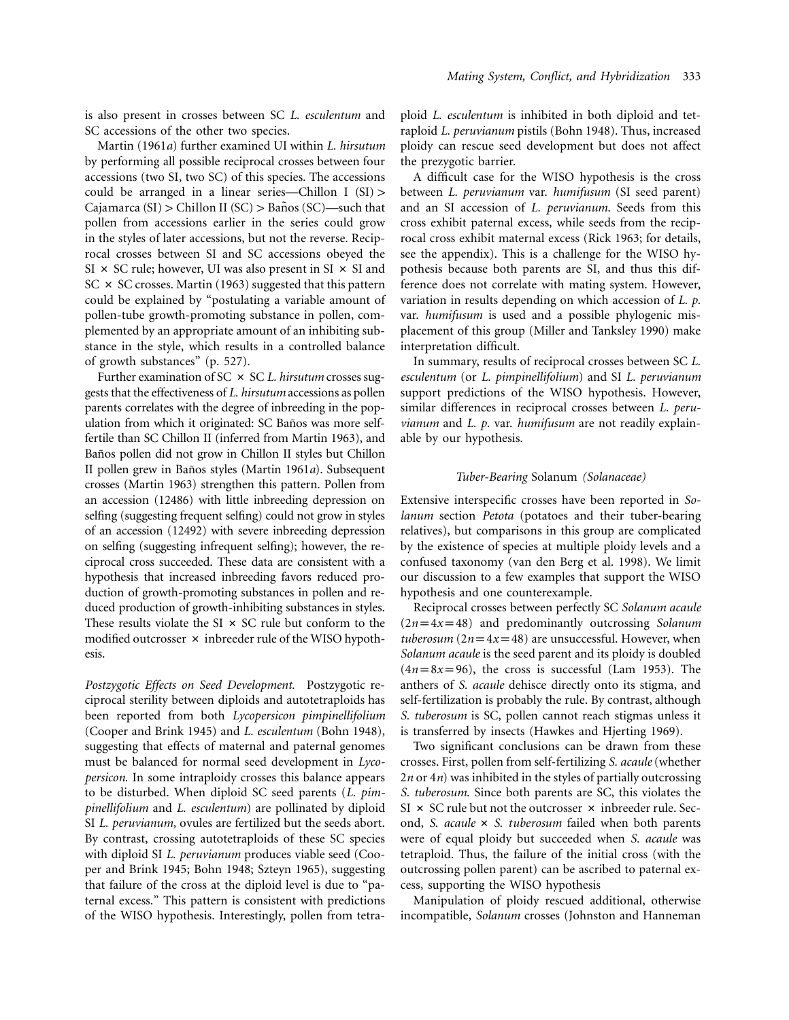is also present in crosses between SC *L. esculentum* and SC accessions of the other two species.

Martin (1961*a*) further examined UI within *L. hirsutum* by performing all possible reciprocal crosses between four accessions (two SI, two SC) of this species. The accessions could be arranged in a linear series—Chillon I  $(SI)$  > Cajamarca (SI)  $>$  Chillon II (SC)  $>$  Banos (SC)—such that pollen from accessions earlier in the series could grow in the styles of later accessions, but not the reverse. Reciprocal crosses between SI and SC accessions obeyed the SI  $\times$  SC rule; however, UI was also present in SI  $\times$  SI and  $SC \times SC$  crosses. Martin (1963) suggested that this pattern could be explained by "postulating a variable amount of pollen-tube growth-promoting substance in pollen, complemented by an appropriate amount of an inhibiting substance in the style, which results in a controlled balance of growth substances" (p. 527).

Further examination of SC  $\times$  SC *L. hirsutum* crosses suggests that the effectiveness of *L. hirsutum* accessions as pollen parents correlates with the degree of inbreeding in the population from which it originated: SC Baños was more selffertile than SC Chillon II (inferred from Martin 1963), and Baños pollen did not grow in Chillon II styles but Chillon II pollen grew in Baños styles (Martin 1961*a*). Subsequent crosses (Martin 1963) strengthen this pattern. Pollen from an accession (12486) with little inbreeding depression on selfing (suggesting frequent selfing) could not grow in styles of an accession (12492) with severe inbreeding depression on selfing (suggesting infrequent selfing); however, the reciprocal cross succeeded. These data are consistent with a hypothesis that increased inbreeding favors reduced production of growth-promoting substances in pollen and reduced production of growth-inhibiting substances in styles. These results violate the SI  $\times$  SC rule but conform to the modified outcrosser  $\times$  inbreeder rule of the WISO hypothesis.

*Postzygotic Effects on Seed Development.* Postzygotic reciprocal sterility between diploids and autotetraploids has been reported from both *Lycopersicon pimpinellifolium* (Cooper and Brink 1945) and *L. esculentum* (Bohn 1948), suggesting that effects of maternal and paternal genomes must be balanced for normal seed development in *Lycopersicon*. In some intraploidy crosses this balance appears to be disturbed. When diploid SC seed parents (*L. pimpinellifolium* and *L. esculentum*) are pollinated by diploid SI *L. peruvianum*, ovules are fertilized but the seeds abort. By contrast, crossing autotetraploids of these SC species with diploid SI *L. peruvianum* produces viable seed (Cooper and Brink 1945; Bohn 1948; Szteyn 1965), suggesting that failure of the cross at the diploid level is due to "paternal excess." This pattern is consistent with predictions of the WISO hypothesis. Interestingly, pollen from tetraploid *L. esculentum* is inhibited in both diploid and tetraploid *L. peruvianum* pistils (Bohn 1948). Thus, increased ploidy can rescue seed development but does not affect the prezygotic barrier.

A difficult case for the WISO hypothesis is the cross between *L. peruvianum* var. *humifusum* (SI seed parent) and an SI accession of *L. peruvianum*. Seeds from this cross exhibit paternal excess, while seeds from the reciprocal cross exhibit maternal excess (Rick 1963; for details, see the appendix). This is a challenge for the WISO hypothesis because both parents are SI, and thus this difference does not correlate with mating system. However, variation in results depending on which accession of *L. p.* var. *humifusum* is used and a possible phylogenic misplacement of this group (Miller and Tanksley 1990) make interpretation difficult.

In summary, results of reciprocal crosses between SC *L. esculentum* (or *L. pimpinellifolium*) and SI *L. peruvianum* support predictions of the WISO hypothesis. However, similar differences in reciprocal crosses between *L. peruvianum* and *L. p*. var. *humifusum* are not readily explainable by our hypothesis.

# *Tuber-Bearing* Solanum *(Solanaceae)*

Extensive interspecific crosses have been reported in *Solanum* section *Petota* (potatoes and their tuber-bearing relatives), but comparisons in this group are complicated by the existence of species at multiple ploidy levels and a confused taxonomy (van den Berg et al. 1998). We limit our discussion to a few examples that support the WISO hypothesis and one counterexample.

Reciprocal crosses between perfectly SC *Solanum acaule*  $(2n=4x=48)$  and predominantly outcrossing *Solanum tuberosum* ( $2n=4x=48$ ) are unsuccessful. However, when *Solanum acaule* is the seed parent and its ploidy is doubled  $(4n=8x=96)$ , the cross is successful (Lam 1953). The anthers of *S. acaule* dehisce directly onto its stigma, and self-fertilization is probably the rule. By contrast, although *S. tuberosum* is SC, pollen cannot reach stigmas unless it is transferred by insects (Hawkes and Hjerting 1969).

Two significant conclusions can be drawn from these crosses. First, pollen from self-fertilizing *S. acaule* (whether 2*n* or 4*n*) was inhibited in the styles of partially outcrossing *S. tuberosum*. Since both parents are SC, this violates the SI  $\times$  SC rule but not the outcrosser  $\times$  inbreeder rule. Second, *S. acaule*  $\times$  *S. tuberosum* failed when both parents were of equal ploidy but succeeded when *S. acaule* was tetraploid. Thus, the failure of the initial cross (with the outcrossing pollen parent) can be ascribed to paternal excess, supporting the WISO hypothesis

Manipulation of ploidy rescued additional, otherwise incompatible, *Solanum* crosses (Johnston and Hanneman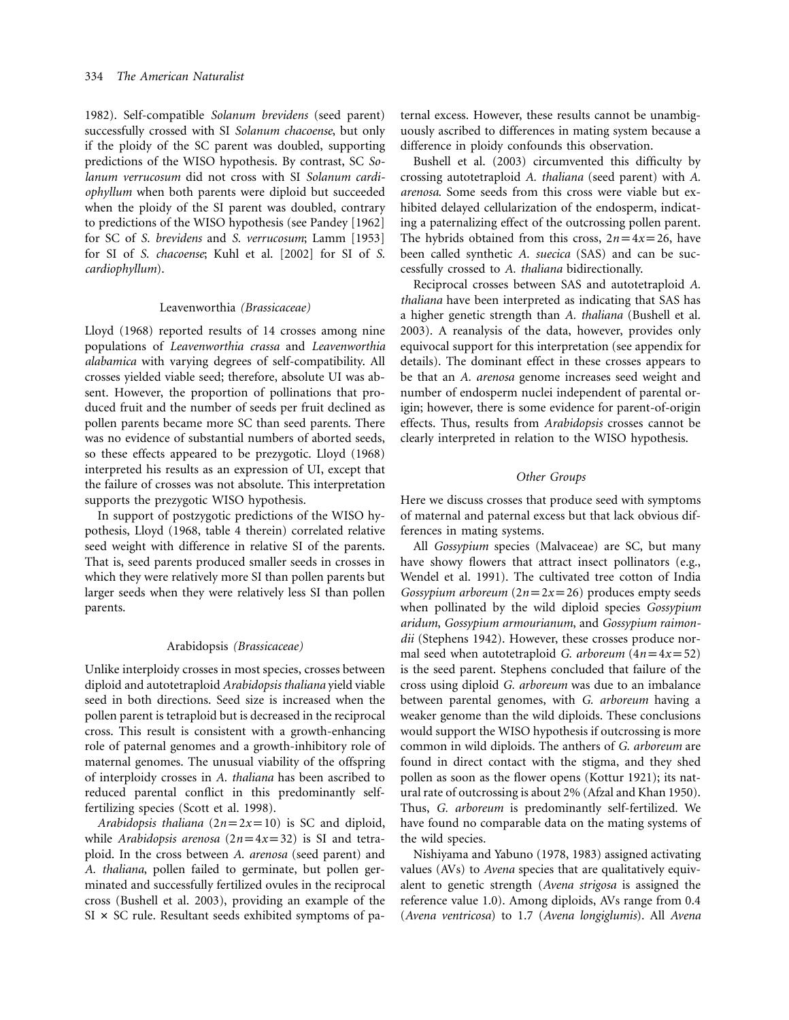1982). Self-compatible *Solanum brevidens* (seed parent) successfully crossed with SI *Solanum chacoense*, but only if the ploidy of the SC parent was doubled, supporting predictions of the WISO hypothesis. By contrast, SC *Solanum verrucosum* did not cross with SI *Solanum cardiophyllum* when both parents were diploid but succeeded when the ploidy of the SI parent was doubled, contrary to predictions of the WISO hypothesis (see Pandey [1962] for SC of *S. brevidens* and *S. verrucosum*; Lamm [1953] for SI of *S. chacoense*; Kuhl et al. [2002] for SI of *S. cardiophyllum*).

#### Leavenworthia *(Brassicaceae)*

Lloyd (1968) reported results of 14 crosses among nine populations of *Leavenworthia crassa* and *Leavenworthia alabamica* with varying degrees of self-compatibility. All crosses yielded viable seed; therefore, absolute UI was absent. However, the proportion of pollinations that produced fruit and the number of seeds per fruit declined as pollen parents became more SC than seed parents. There was no evidence of substantial numbers of aborted seeds, so these effects appeared to be prezygotic. Lloyd (1968) interpreted his results as an expression of UI, except that the failure of crosses was not absolute. This interpretation supports the prezygotic WISO hypothesis.

In support of postzygotic predictions of the WISO hypothesis, Lloyd (1968, table 4 therein) correlated relative seed weight with difference in relative SI of the parents. That is, seed parents produced smaller seeds in crosses in which they were relatively more SI than pollen parents but larger seeds when they were relatively less SI than pollen parents.

# Arabidopsis *(Brassicaceae)*

Unlike interploidy crosses in most species, crosses between diploid and autotetraploid *Arabidopsis thaliana* yield viable seed in both directions. Seed size is increased when the pollen parent is tetraploid but is decreased in the reciprocal cross. This result is consistent with a growth-enhancing role of paternal genomes and a growth-inhibitory role of maternal genomes. The unusual viability of the offspring of interploidy crosses in *A. thaliana* has been ascribed to reduced parental conflict in this predominantly selffertilizing species (Scott et al. 1998).

*Arabidopsis thaliana*  $(2n=2x=10)$  is SC and diploid, while *Arabidopsis arenosa*  $(2n=4x=32)$  is SI and tetraploid. In the cross between *A. arenosa* (seed parent) and *A. thaliana*, pollen failed to germinate, but pollen germinated and successfully fertilized ovules in the reciprocal cross (Bushell et al. 2003), providing an example of the  $SI \times SC$  rule. Resultant seeds exhibited symptoms of paternal excess. However, these results cannot be unambiguously ascribed to differences in mating system because a difference in ploidy confounds this observation.

Bushell et al. (2003) circumvented this difficulty by crossing autotetraploid *A. thaliana* (seed parent) with *A. arenosa*. Some seeds from this cross were viable but exhibited delayed cellularization of the endosperm, indicating a paternalizing effect of the outcrossing pollen parent. The hybrids obtained from this cross,  $2n=4x=26$ , have been called synthetic *A. suecica* (SAS) and can be successfully crossed to *A. thaliana* bidirectionally.

Reciprocal crosses between SAS and autotetraploid *A. thaliana* have been interpreted as indicating that SAS has a higher genetic strength than *A. thaliana* (Bushell et al. 2003). A reanalysis of the data, however, provides only equivocal support for this interpretation (see appendix for details). The dominant effect in these crosses appears to be that an *A. arenosa* genome increases seed weight and number of endosperm nuclei independent of parental origin; however, there is some evidence for parent-of-origin effects. Thus, results from *Arabidopsis* crosses cannot be clearly interpreted in relation to the WISO hypothesis.

# *Other Groups*

Here we discuss crosses that produce seed with symptoms of maternal and paternal excess but that lack obvious differences in mating systems.

All *Gossypium* species (Malvaceae) are SC, but many have showy flowers that attract insect pollinators (e.g., Wendel et al. 1991). The cultivated tree cotton of India *Gossypium arboreum* ( $2n=2x=26$ ) produces empty seeds when pollinated by the wild diploid species *Gossypium aridum*, *Gossypium armourianum*, and *Gossypium raimondii* (Stephens 1942). However, these crosses produce normal seed when autotetraploid *G. arboreum*  $(4n=4x=52)$ is the seed parent. Stephens concluded that failure of the cross using diploid *G. arboreum* was due to an imbalance between parental genomes, with *G. arboreum* having a weaker genome than the wild diploids. These conclusions would support the WISO hypothesis if outcrossing is more common in wild diploids. The anthers of *G. arboreum* are found in direct contact with the stigma, and they shed pollen as soon as the flower opens (Kottur 1921); its natural rate of outcrossing is about 2% (Afzal and Khan 1950). Thus, *G. arboreum* is predominantly self-fertilized. We have found no comparable data on the mating systems of the wild species.

Nishiyama and Yabuno (1978, 1983) assigned activating values (AVs) to *Avena* species that are qualitatively equivalent to genetic strength (*Avena strigosa* is assigned the reference value 1.0). Among diploids, AVs range from 0.4 (*Avena ventricosa*) to 1.7 (*Avena longiglumis*). All *Avena*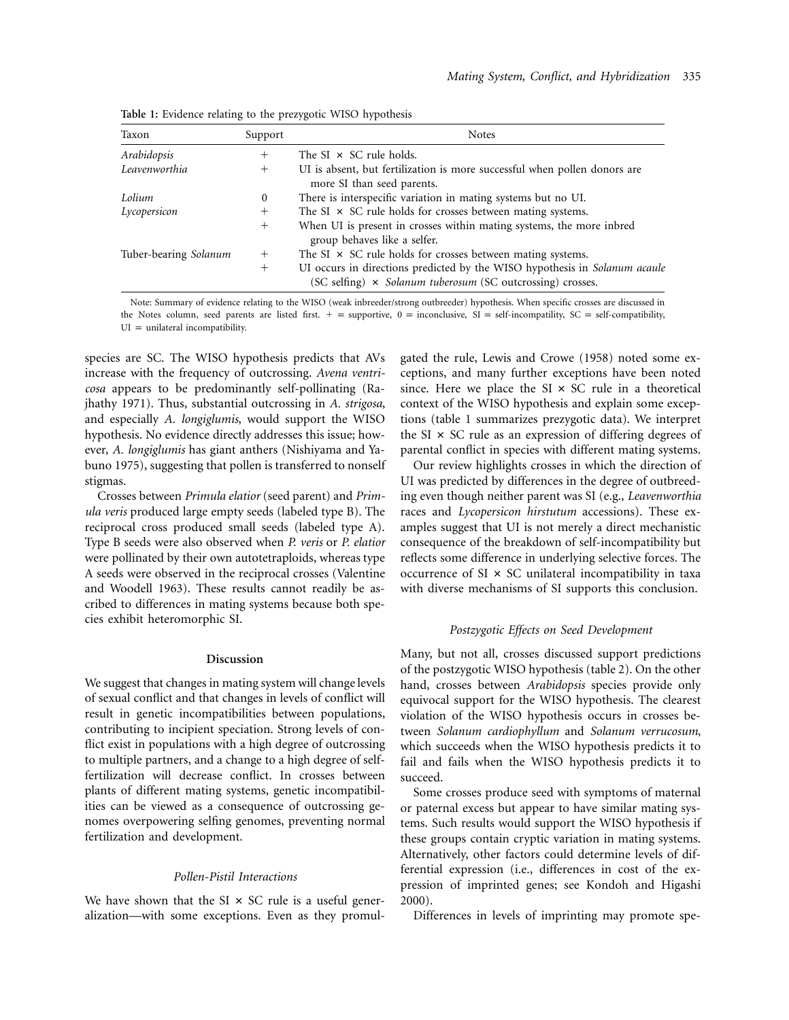| Taxon                 | Support | <b>Notes</b>                                                                                                                             |
|-----------------------|---------|------------------------------------------------------------------------------------------------------------------------------------------|
| Arabidopsis           | $^+$    | The SI $\times$ SC rule holds.                                                                                                           |
| Leavenworthia         | $^{+}$  | UI is absent, but fertilization is more successful when pollen donors are<br>more SI than seed parents.                                  |
| Lolium                | 0       | There is interspecific variation in mating systems but no UI.                                                                            |
| Lycopersicon          | $^+$    | The SI $\times$ SC rule holds for crosses between mating systems.                                                                        |
|                       | $^{+}$  | When UI is present in crosses within mating systems, the more inbred<br>group behaves like a selfer.                                     |
| Tuber-bearing Solanum | $^+$    | The SI $\times$ SC rule holds for crosses between mating systems.                                                                        |
|                       | $^{+}$  | UI occurs in directions predicted by the WISO hypothesis in Solanum acaule<br>(SC selfing) × Solanum tuberosum (SC outcrossing) crosses. |

**Table 1:** Evidence relating to the prezygotic WISO hypothesis

Note: Summary of evidence relating to the WISO (weak inbreeder/strong outbreeder) hypothesis. When specific crosses are discussed in the Notes column, seed parents are listed first.  $+$  = supportive,  $0$  = inconclusive,  $SI$  = self-incompatility,  $SC$  = self-compatibility,  $UI = unilateral incompatibility.$ 

species are SC. The WISO hypothesis predicts that AVs increase with the frequency of outcrossing. *Avena ventricosa* appears to be predominantly self-pollinating (Rajhathy 1971). Thus, substantial outcrossing in *A. strigosa*, and especially *A. longiglumis*, would support the WISO hypothesis. No evidence directly addresses this issue; however, *A. longiglumis* has giant anthers (Nishiyama and Yabuno 1975), suggesting that pollen is transferred to nonself stigmas.

Crosses between *Primula elatior* (seed parent) and *Primula veris* produced large empty seeds (labeled type B). The reciprocal cross produced small seeds (labeled type A). Type B seeds were also observed when *P. veris* or *P. elatior* were pollinated by their own autotetraploids, whereas type A seeds were observed in the reciprocal crosses (Valentine and Woodell 1963). These results cannot readily be ascribed to differences in mating systems because both species exhibit heteromorphic SI.

# **Discussion**

We suggest that changes in mating system will change levels of sexual conflict and that changes in levels of conflict will result in genetic incompatibilities between populations, contributing to incipient speciation. Strong levels of conflict exist in populations with a high degree of outcrossing to multiple partners, and a change to a high degree of selffertilization will decrease conflict. In crosses between plants of different mating systems, genetic incompatibilities can be viewed as a consequence of outcrossing genomes overpowering selfing genomes, preventing normal fertilization and development.

# *Pollen-Pistil Interactions*

We have shown that the SI  $\times$  SC rule is a useful generalization—with some exceptions. Even as they promulgated the rule, Lewis and Crowe (1958) noted some exceptions, and many further exceptions have been noted since. Here we place the SI  $\times$  SC rule in a theoretical context of the WISO hypothesis and explain some exceptions (table 1 summarizes prezygotic data). We interpret the SI  $\times$  SC rule as an expression of differing degrees of parental conflict in species with different mating systems.

Our review highlights crosses in which the direction of UI was predicted by differences in the degree of outbreeding even though neither parent was SI (e.g., *Leavenworthia* races and *Lycopersicon hirstutum* accessions). These examples suggest that UI is not merely a direct mechanistic consequence of the breakdown of self-incompatibility but reflects some difference in underlying selective forces. The occurrence of  $SI \times SC$  unilateral incompatibility in taxa with diverse mechanisms of SI supports this conclusion.

# *Postzygotic Effects on Seed Development*

Many, but not all, crosses discussed support predictions of the postzygotic WISO hypothesis (table 2). On the other hand, crosses between *Arabidopsis* species provide only equivocal support for the WISO hypothesis. The clearest violation of the WISO hypothesis occurs in crosses between *Solanum cardiophyllum* and *Solanum verrucosum*, which succeeds when the WISO hypothesis predicts it to fail and fails when the WISO hypothesis predicts it to succeed.

Some crosses produce seed with symptoms of maternal or paternal excess but appear to have similar mating systems. Such results would support the WISO hypothesis if these groups contain cryptic variation in mating systems. Alternatively, other factors could determine levels of differential expression (i.e., differences in cost of the expression of imprinted genes; see Kondoh and Higashi 2000).

Differences in levels of imprinting may promote spe-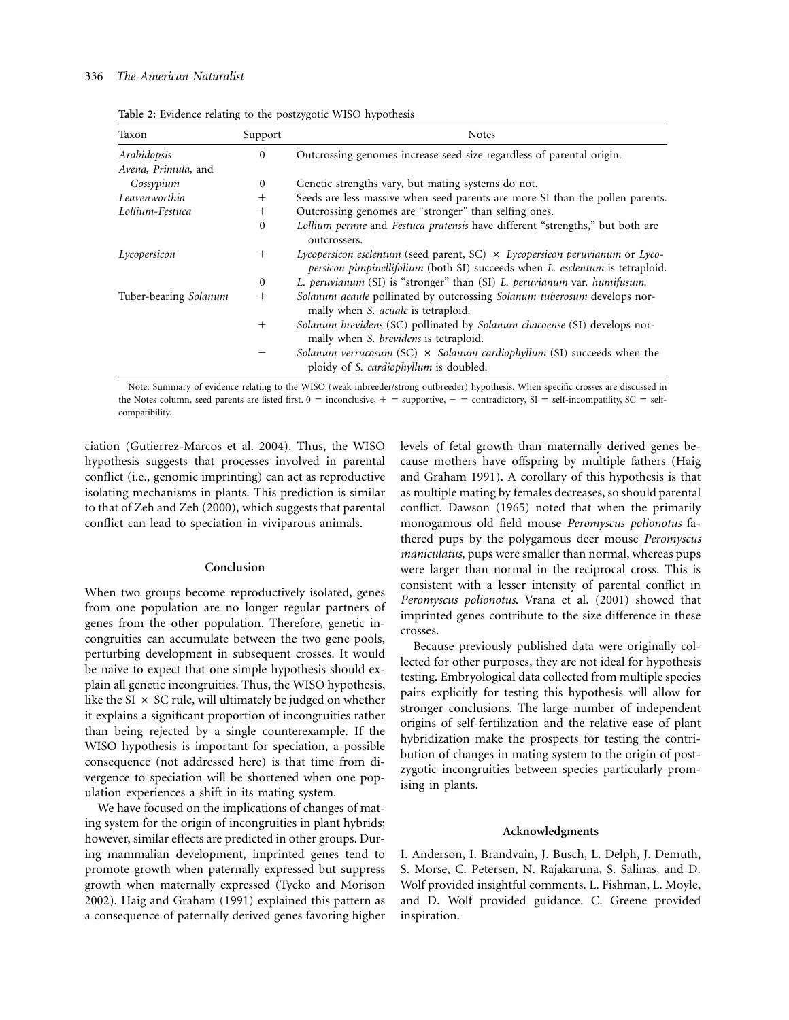| Taxon                 | Support      | <b>Notes</b>                                                                                                                                                               |
|-----------------------|--------------|----------------------------------------------------------------------------------------------------------------------------------------------------------------------------|
| Arabidopsis           | $\Omega$     | Outcrossing genomes increase seed size regardless of parental origin.                                                                                                      |
| Avena, Primula, and   |              |                                                                                                                                                                            |
| Gossypium             | $\Omega$     | Genetic strengths vary, but mating systems do not.                                                                                                                         |
| Leavenworthia         | $^{+}$       | Seeds are less massive when seed parents are more SI than the pollen parents.                                                                                              |
| Lollium-Festuca       | $^{+}$       | Outcrossing genomes are "stronger" than selfing ones.                                                                                                                      |
|                       | $\mathbf{0}$ | Lollium pernne and Festuca pratensis have different "strengths," but both are<br>outcrossers.                                                                              |
| Lycopersicon          | $^{+}$       | Lycopersicon esclentum (seed parent, SC) $\times$ Lycopersicon peruvianum or Lyco-<br>persicon pimpinellifolium (both SI) succeeds when <i>L. esclentum</i> is tetraploid. |
|                       | $\mathbf{0}$ | L. peruvianum (SI) is "stronger" than (SI) L. peruvianum var. humifusum.                                                                                                   |
| Tuber-bearing Solanum | $^{+}$       | Solanum acaule pollinated by outcrossing Solanum tuberosum develops nor-<br>mally when S. <i>acuale</i> is tetraploid.                                                     |
|                       | $^{+}$       | Solanum brevidens (SC) pollinated by Solanum chacoense (SI) develops nor-<br>mally when S. brevidens is tetraploid.                                                        |
|                       |              | Solanum verrucosum (SC) $\times$ Solanum cardiophyllum (SI) succeeds when the<br>ploidy of <i>S. cardiophyllum</i> is doubled.                                             |

**Table 2:** Evidence relating to the postzygotic WISO hypothesis

Note: Summary of evidence relating to the WISO (weak inbreeder/strong outbreeder) hypothesis. When specific crosses are discussed in the Notes column, seed parents are listed first.  $0 =$  inconclusive,  $+$  = supportive,  $-$  = contradictory, SI = self-incompatility, SC = selfcompatibility.

ciation (Gutierrez-Marcos et al. 2004). Thus, the WISO hypothesis suggests that processes involved in parental conflict (i.e., genomic imprinting) can act as reproductive isolating mechanisms in plants. This prediction is similar to that of Zeh and Zeh (2000), which suggests that parental conflict can lead to speciation in viviparous animals.

# **Conclusion**

When two groups become reproductively isolated, genes from one population are no longer regular partners of genes from the other population. Therefore, genetic incongruities can accumulate between the two gene pools, perturbing development in subsequent crosses. It would be naive to expect that one simple hypothesis should explain all genetic incongruities. Thus, the WISO hypothesis, like the SI  $\times$  SC rule, will ultimately be judged on whether it explains a significant proportion of incongruities rather than being rejected by a single counterexample. If the WISO hypothesis is important for speciation, a possible consequence (not addressed here) is that time from divergence to speciation will be shortened when one population experiences a shift in its mating system.

We have focused on the implications of changes of mating system for the origin of incongruities in plant hybrids; however, similar effects are predicted in other groups. During mammalian development, imprinted genes tend to promote growth when paternally expressed but suppress growth when maternally expressed (Tycko and Morison 2002). Haig and Graham (1991) explained this pattern as a consequence of paternally derived genes favoring higher levels of fetal growth than maternally derived genes because mothers have offspring by multiple fathers (Haig and Graham 1991). A corollary of this hypothesis is that as multiple mating by females decreases, so should parental conflict. Dawson (1965) noted that when the primarily monogamous old field mouse *Peromyscus polionotus* fathered pups by the polygamous deer mouse *Peromyscus maniculatus*, pups were smaller than normal, whereas pups were larger than normal in the reciprocal cross. This is consistent with a lesser intensity of parental conflict in *Peromyscus polionotus*. Vrana et al. (2001) showed that imprinted genes contribute to the size difference in these crosses.

Because previously published data were originally collected for other purposes, they are not ideal for hypothesis testing. Embryological data collected from multiple species pairs explicitly for testing this hypothesis will allow for stronger conclusions. The large number of independent origins of self-fertilization and the relative ease of plant hybridization make the prospects for testing the contribution of changes in mating system to the origin of postzygotic incongruities between species particularly promising in plants.

#### **Acknowledgments**

I. Anderson, I. Brandvain, J. Busch, L. Delph, J. Demuth, S. Morse, C. Petersen, N. Rajakaruna, S. Salinas, and D. Wolf provided insightful comments. L. Fishman, L. Moyle, and D. Wolf provided guidance. C. Greene provided inspiration.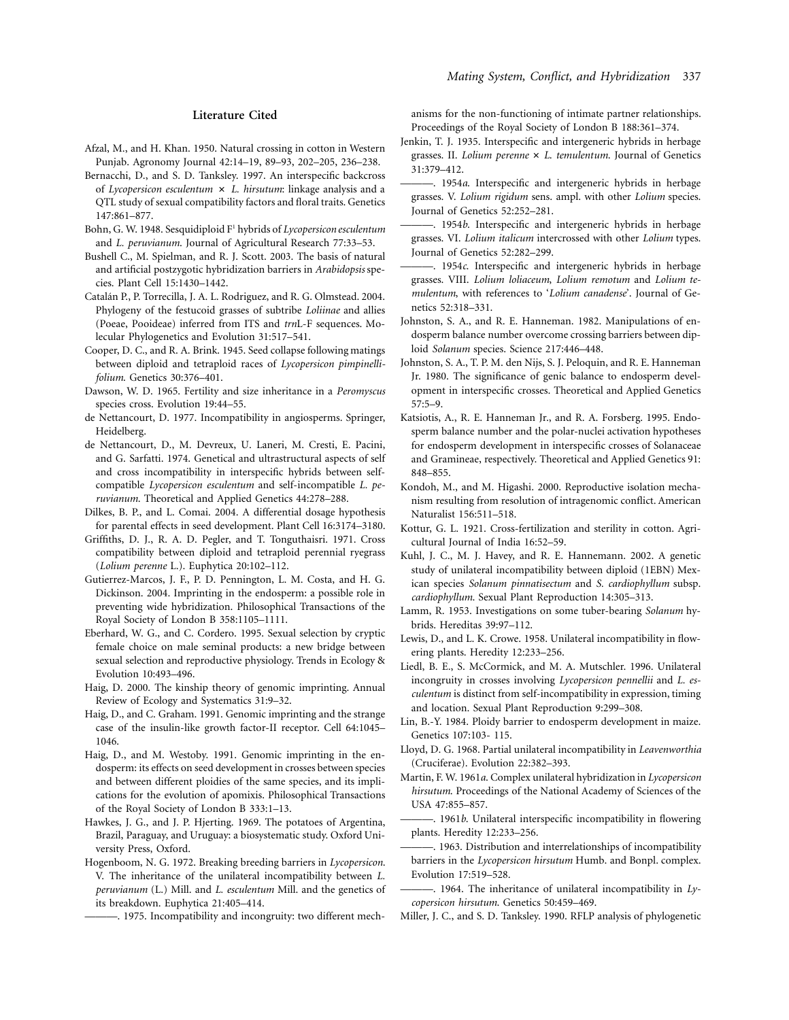### **Literature Cited**

- Afzal, M., and H. Khan. 1950. Natural crossing in cotton in Western Punjab. Agronomy Journal 42:14–19, 89–93, 202–205, 236–238.
- Bernacchi, D., and S. D. Tanksley. 1997. An interspecific backcross of *Lycopersicon esculentum* # *L. hirsutum*: linkage analysis and a QTL study of sexual compatibility factors and floral traits. Genetics 147:861–877.
- Bohn, G. W. 1948. Sesquidiploid F<sup>1</sup> hybrids of *Lycopersicon esculentum* and *L. peruvianum*. Journal of Agricultural Research 77:33–53.
- Bushell C., M. Spielman, and R. J. Scott. 2003. The basis of natural and artificial postzygotic hybridization barriers in *Arabidopsis* species. Plant Cell 15:1430–1442.
- Catalán P., P. Torrecilla, J. A. L. Rodriguez, and R. G. Olmstead. 2004. Phylogeny of the festucoid grasses of subtribe *Loliinae* and allies (Poeae, Pooideae) inferred from ITS and *trn*L-F sequences. Molecular Phylogenetics and Evolution 31:517–541.
- Cooper, D. C., and R. A. Brink. 1945. Seed collapse following matings between diploid and tetraploid races of *Lycopersicon pimpinellifolium*. Genetics 30:376–401.
- Dawson, W. D. 1965. Fertility and size inheritance in a *Peromyscus* species cross. Evolution 19:44–55.
- de Nettancourt, D. 1977. Incompatibility in angiosperms. Springer, Heidelberg.
- de Nettancourt, D., M. Devreux, U. Laneri, M. Cresti, E. Pacini, and G. Sarfatti. 1974. Genetical and ultrastructural aspects of self and cross incompatibility in interspecific hybrids between selfcompatible *Lycopersicon esculentum* and self-incompatible *L. peruvianum*. Theoretical and Applied Genetics 44:278–288.
- Dilkes, B. P., and L. Comai. 2004. A differential dosage hypothesis for parental effects in seed development. Plant Cell 16:3174–3180.
- Griffiths, D. J., R. A. D. Pegler, and T. Tonguthaisri. 1971. Cross compatibility between diploid and tetraploid perennial ryegrass (*Lolium perenne* L.). Euphytica 20:102–112.
- Gutierrez-Marcos, J. F., P. D. Pennington, L. M. Costa, and H. G. Dickinson. 2004. Imprinting in the endosperm: a possible role in preventing wide hybridization. Philosophical Transactions of the Royal Society of London B 358:1105–1111.
- Eberhard, W. G., and C. Cordero. 1995. Sexual selection by cryptic female choice on male seminal products: a new bridge between sexual selection and reproductive physiology. Trends in Ecology & Evolution 10:493–496.
- Haig, D. 2000. The kinship theory of genomic imprinting. Annual Review of Ecology and Systematics 31:9–32.
- Haig, D., and C. Graham. 1991. Genomic imprinting and the strange case of the insulin-like growth factor-II receptor. Cell 64:1045– 1046.
- Haig, D., and M. Westoby. 1991. Genomic imprinting in the endosperm: its effects on seed development in crosses between species and between different ploidies of the same species, and its implications for the evolution of apomixis. Philosophical Transactions of the Royal Society of London B 333:1–13.
- Hawkes, J. G., and J. P. Hjerting. 1969. The potatoes of Argentina, Brazil, Paraguay, and Uruguay: a biosystematic study. Oxford University Press, Oxford.
- Hogenboom, N. G. 1972. Breaking breeding barriers in *Lycopersicon*. V. The inheritance of the unilateral incompatibility between *L. peruvianum* (L.) Mill. and *L. esculentum* Mill. and the genetics of its breakdown. Euphytica 21:405–414.

———. 1975. Incompatibility and incongruity: two different mech-

anisms for the non-functioning of intimate partner relationships. Proceedings of the Royal Society of London B 188:361–374.

- Jenkin, T. J. 1935. Interspecific and intergeneric hybrids in herbage grasses. II. *Lolium perenne* × *L. temulentum*. Journal of Genetics 31:379–412.
- ———. 1954*a*. Interspecific and intergeneric hybrids in herbage grasses. V. *Lolium rigidum* sens. ampl. with other *Lolium* species. Journal of Genetics 52:252–281.
- ———. 1954*b*. Interspecific and intergeneric hybrids in herbage grasses. VI. *Lolium italicum* intercrossed with other *Lolium* types. Journal of Genetics 52:282–299.
- ———. 1954*c*. Interspecific and intergeneric hybrids in herbage grasses. VIII. *Lolium loliaceum*, *Lolium remotum* and *Lolium temulentum*, with references to '*Lolium canadense*'. Journal of Genetics 52:318–331.
- Johnston, S. A., and R. E. Hanneman. 1982. Manipulations of endosperm balance number overcome crossing barriers between diploid *Solanum* species. Science 217:446–448.
- Johnston, S. A., T. P. M. den Nijs, S. J. Peloquin, and R. E. Hanneman Jr. 1980. The significance of genic balance to endosperm development in interspecific crosses. Theoretical and Applied Genetics 57:5–9.
- Katsiotis, A., R. E. Hanneman Jr., and R. A. Forsberg. 1995. Endosperm balance number and the polar-nuclei activation hypotheses for endosperm development in interspecific crosses of Solanaceae and Gramineae, respectively. Theoretical and Applied Genetics 91: 848–855.
- Kondoh, M., and M. Higashi. 2000. Reproductive isolation mechanism resulting from resolution of intragenomic conflict. American Naturalist 156:511–518.
- Kottur, G. L. 1921. Cross-fertilization and sterility in cotton. Agricultural Journal of India 16:52–59.
- Kuhl, J. C., M. J. Havey, and R. E. Hannemann. 2002. A genetic study of unilateral incompatibility between diploid (1EBN) Mexican species *Solanum pinnatisectum* and *S. cardiophyllum* subsp. *cardiophyllum*. Sexual Plant Reproduction 14:305–313.
- Lamm, R. 1953. Investigations on some tuber-bearing *Solanum* hybrids. Hereditas 39:97–112.
- Lewis, D., and L. K. Crowe. 1958. Unilateral incompatibility in flowering plants. Heredity 12:233–256.
- Liedl, B. E., S. McCormick, and M. A. Mutschler. 1996. Unilateral incongruity in crosses involving *Lycopersicon pennellii* and *L. esculentum* is distinct from self-incompatibility in expression, timing and location. Sexual Plant Reproduction 9:299–308.
- Lin, B.-Y. 1984. Ploidy barrier to endosperm development in maize. Genetics 107:103- 115.
- Lloyd, D. G. 1968. Partial unilateral incompatibility in *Leavenworthia* (Cruciferae). Evolution 22:382–393.
- Martin, F. W. 1961*a*. Complex unilateral hybridization in *Lycopersicon hirsutum*. Proceedings of the National Academy of Sciences of the USA 47:855–857.
- ———. 1961*b*. Unilateral interspecific incompatibility in flowering plants. Heredity 12:233–256.
- ———. 1963. Distribution and interrelationships of incompatibility barriers in the *Lycopersicon hirsutum* Humb. and Bonpl. complex. Evolution 17:519–528.
- -. 1964. The inheritance of unilateral incompatibility in Ly*copersicon hirsutum*. Genetics 50:459–469.
- Miller, J. C., and S. D. Tanksley. 1990. RFLP analysis of phylogenetic